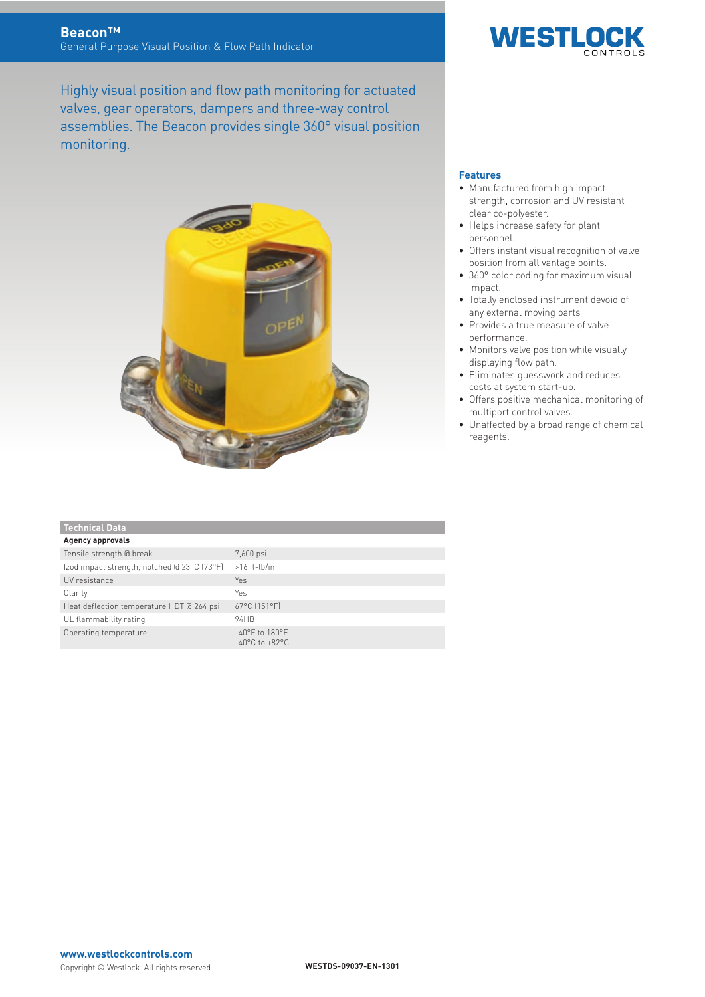Highly visual position and flow path monitoring for actuated valves, gear operators, dampers and three-way control assemblies. The Beacon provides single 360° visual position monitoring.





### **Features**

- Manufactured from high impact strength, corrosion and UV resistant clear co-polyester.
- Helps increase safety for plant personnel.
- **•** Offers instant visual recognition of valve position from all vantage points.
- 360° color coding for maximum visual impact.
- Totally enclosed instrument devoid of any external moving parts
- ɒ Provides a true measure of valve performance.
- Monitors valve position while visually displaying flow path.
- **•** Eliminates guesswork and reduces costs at system start-up.
- **•** Offers positive mechanical monitoring of multiport control valves.
- Unaffected by a broad range of chemical reagents.

| <b>Technical Data</b>                       |                                                                          |
|---------------------------------------------|--------------------------------------------------------------------------|
| <b>Agency approvals</b>                     |                                                                          |
| Tensile strength @ break                    | 7,600 psi                                                                |
| Izod impact strength, notched @ 23°C (73°F) | $>16$ ft-lb/in                                                           |
| UV resistance                               | <b>Yes</b>                                                               |
| Clarity                                     | Yes                                                                      |
| Heat deflection temperature HDT @ 264 psi   | 67°C [151°F]                                                             |
| UL flammability rating                      | 94HB                                                                     |
| Operating temperature                       | $-40^{\circ}$ F to $180^{\circ}$ F<br>$-40^{\circ}$ C to $+82^{\circ}$ C |